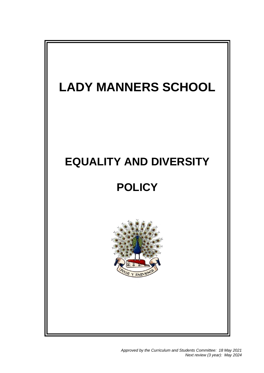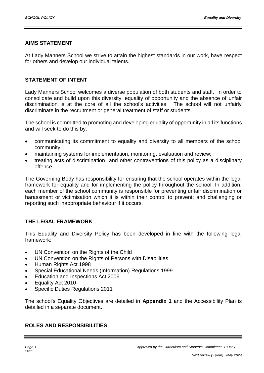#### **AIMS STATEMENT**

At Lady Manners School we strive to attain the highest standards in our work, have respect for others and develop our individual talents.

## **STATEMENT OF INTENT**

Lady Manners School welcomes a diverse population of both students and staff. In order to consolidate and build upon this diversity, equality of opportunity and the absence of unfair discrimination is at the core of all the school's activities. The school will not unfairly discriminate in the recruitment or general treatment of staff or students.

The school is committed to promoting and developing equality of opportunity in all its functions and will seek to do this by:

- communicating its commitment to equality and diversity to all members of the school community;
- maintaining systems for implementation, monitoring, evaluation and review;
- treating acts of discrimination and other contraventions of this policy as a disciplinary offence.

The Governing Body has responsibility for ensuring that the school operates within the legal framework for equality and for implementing the policy throughout the school. In addition, each member of the school community is responsible for preventing unfair discrimination or harassment or victimisation which it is within their control to prevent; and challenging or reporting such inappropriate behaviour if it occurs.

# **THE LEGAL FRAMEWORK**

This Equality and Diversity Policy has been developed in line with the following legal framework:

- UN Convention on the Rights of the Child
- UN Convention on the Rights of Persons with Disabilities
- Human Rights Act 1998
- Special Educational Needs (Information) Regulations 1999
- **Education and Inspections Act 2006**
- Equality Act 2010
- Specific Duties Regulations 2011

The school's Equality Objectives are detailed in **Appendix 1** and the Accessibility Plan is detailed in a separate document.

#### **ROLES AND RESPONSIBILITIES**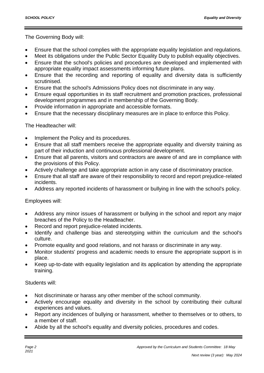The Governing Body will:

- Ensure that the school complies with the appropriate equality legislation and regulations.
- Meet its obligations under the Public Sector Equality Duty to publish equality objectives.
- Ensure that the school's policies and procedures are developed and implemented with appropriate equality impact assessments informing future plans.
- Ensure that the recording and reporting of equality and diversity data is sufficiently scrutinised.
- Ensure that the school's Admissions Policy does not discriminate in any way.
- Ensure equal opportunities in its staff recruitment and promotion practices, professional development programmes and in membership of the Governing Body.
- Provide information in appropriate and accessible formats.
- Ensure that the necessary disciplinary measures are in place to enforce this Policy.

The Headteacher will:

- Implement the Policy and its procedures.
- Ensure that all staff members receive the appropriate equality and diversity training as part of their induction and continuous professional development.
- Ensure that all parents, visitors and contractors are aware of and are in compliance with the provisions of this Policy.
- Actively challenge and take appropriate action in any case of discriminatory practice.
- Ensure that all staff are aware of their responsibility to record and report prejudice-related incidents.
- Address any reported incidents of harassment or bullying in line with the school's policy.

#### Employees will:

- Address any minor issues of harassment or bullying in the school and report any major breaches of the Policy to the Headteacher.
- Record and report prejudice-related incidents.
- Identify and challenge bias and stereotyping within the curriculum and the school's culture.
- Promote equality and good relations, and not harass or discriminate in any way.
- Monitor students' progress and academic needs to ensure the appropriate support is in place.
- Keep up-to-date with equality legislation and its application by attending the appropriate training.

#### Students will:

- Not discriminate or harass any other member of the school community.
- Actively encourage equality and diversity in the school by contributing their cultural experiences and values.
- Report any incidences of bullying or harassment, whether to themselves or to others, to a member of staff.
- Abide by all the school's equality and diversity policies, procedures and codes.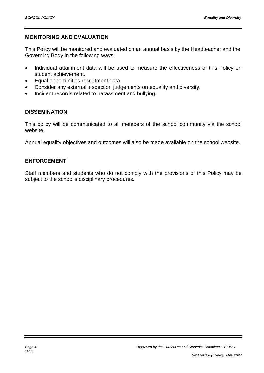## **MONITORING AND EVALUATION**

This Policy will be monitored and evaluated on an annual basis by the Headteacher and the Governing Body in the following ways:

- Individual attainment data will be used to measure the effectiveness of this Policy on student achievement.
- Equal opportunities recruitment data.
- Consider any external inspection judgements on equality and diversity.
- Incident records related to harassment and bullying.

#### **DISSEMINATION**

This policy will be communicated to all members of the school community via the school website.

Annual equality objectives and outcomes will also be made available on the school website.

#### **ENFORCEMENT**

Staff members and students who do not comply with the provisions of this Policy may be subject to the school's disciplinary procedures.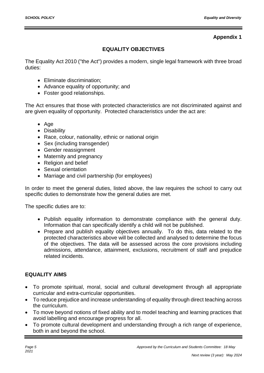# **Appendix 1**

# **EQUALITY OBJECTIVES**

The Equality Act 2010 ("the Act") provides a modern, single legal framework with three broad duties:

- Eliminate discrimination:
- Advance equality of opportunity; and
- Foster good relationships.

The Act ensures that those with protected characteristics are not discriminated against and are given equality of opportunity. Protected characteristics under the act are:

- Age
- Disability
- Race, colour, nationality, ethnic or national origin
- Sex (including transgender)
- Gender reassignment
- Maternity and pregnancy
- Religion and belief
- Sexual orientation
- Marriage and civil partnership (for employees)

In order to meet the general duties, listed above, the law requires the school to carry out specific duties to demonstrate how the general duties are met.

The specific duties are to:

- Publish equality information to demonstrate compliance with the general duty. Information that can specifically identify a child will not be published.
- Prepare and publish equality objectives annually. To do this, data related to the protected characteristics above will be collected and analysed to determine the focus of the objectives. The data will be assessed across the core provisions including admissions, attendance, attainment, exclusions, recruitment of staff and prejudice related incidents.

# **EQUALITY AIMS**

- To promote spiritual, moral, social and cultural development through all appropriate curricular and extra-curricular opportunities.
- To reduce prejudice and increase understanding of equality through direct teaching across the curriculum.
- To move beyond notions of fixed ability and to model teaching and learning practices that avoid labelling and encourage progress for all.
- To promote cultural development and understanding through a rich range of experience, both in and beyond the school.